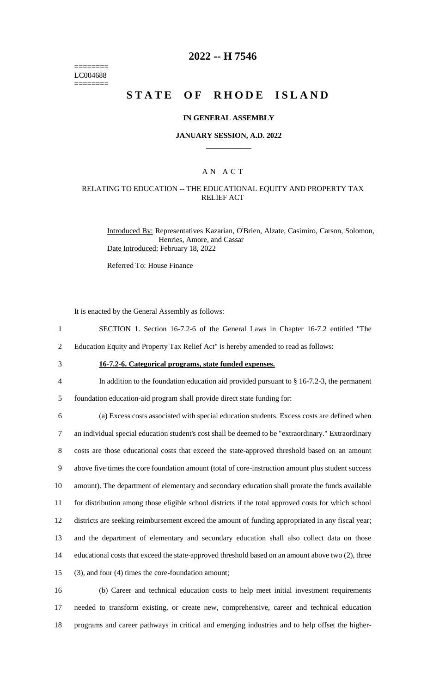======== LC004688 ========

## **2022 -- H 7546**

# **STATE OF RHODE ISLAND**

### **IN GENERAL ASSEMBLY**

### **JANUARY SESSION, A.D. 2022 \_\_\_\_\_\_\_\_\_\_\_\_**

## A N A C T

### RELATING TO EDUCATION -- THE EDUCATIONAL EQUITY AND PROPERTY TAX RELIEF ACT

Introduced By: Representatives Kazarian, O'Brien, Alzate, Casimiro, Carson, Solomon, Henries, Amore, and Cassar Date Introduced: February 18, 2022

Referred To: House Finance

It is enacted by the General Assembly as follows:

- 1 SECTION 1. Section 16-7.2-6 of the General Laws in Chapter 16-7.2 entitled "The
- 2 Education Equity and Property Tax Relief Act" is hereby amended to read as follows:
- 

## 3 **16-7.2-6. Categorical programs, state funded expenses.**

4 In addition to the foundation education aid provided pursuant to § 16-7.2-3, the permanent

5 foundation education-aid program shall provide direct state funding for:

 (a) Excess costs associated with special education students. Excess costs are defined when an individual special education student's cost shall be deemed to be "extraordinary." Extraordinary costs are those educational costs that exceed the state-approved threshold based on an amount above five times the core foundation amount (total of core-instruction amount plus student success amount). The department of elementary and secondary education shall prorate the funds available for distribution among those eligible school districts if the total approved costs for which school districts are seeking reimbursement exceed the amount of funding appropriated in any fiscal year; and the department of elementary and secondary education shall also collect data on those educational costs that exceed the state-approved threshold based on an amount above two (2), three (3), and four (4) times the core-foundation amount;

16 (b) Career and technical education costs to help meet initial investment requirements 17 needed to transform existing, or create new, comprehensive, career and technical education 18 programs and career pathways in critical and emerging industries and to help offset the higher-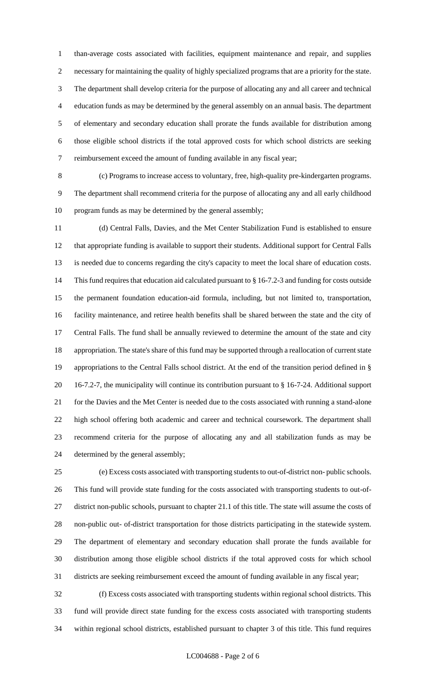than-average costs associated with facilities, equipment maintenance and repair, and supplies necessary for maintaining the quality of highly specialized programs that are a priority for the state. The department shall develop criteria for the purpose of allocating any and all career and technical education funds as may be determined by the general assembly on an annual basis. The department of elementary and secondary education shall prorate the funds available for distribution among those eligible school districts if the total approved costs for which school districts are seeking reimbursement exceed the amount of funding available in any fiscal year;

 (c) Programs to increase access to voluntary, free, high-quality pre-kindergarten programs. The department shall recommend criteria for the purpose of allocating any and all early childhood program funds as may be determined by the general assembly;

 (d) Central Falls, Davies, and the Met Center Stabilization Fund is established to ensure that appropriate funding is available to support their students. Additional support for Central Falls is needed due to concerns regarding the city's capacity to meet the local share of education costs. This fund requires that education aid calculated pursuant to § 16-7.2-3 and funding for costs outside the permanent foundation education-aid formula, including, but not limited to, transportation, facility maintenance, and retiree health benefits shall be shared between the state and the city of Central Falls. The fund shall be annually reviewed to determine the amount of the state and city appropriation. The state's share of this fund may be supported through a reallocation of current state appropriations to the Central Falls school district. At the end of the transition period defined in § 16-7.2-7, the municipality will continue its contribution pursuant to § 16-7-24. Additional support for the Davies and the Met Center is needed due to the costs associated with running a stand-alone high school offering both academic and career and technical coursework. The department shall recommend criteria for the purpose of allocating any and all stabilization funds as may be determined by the general assembly;

 (e) Excess costs associated with transporting students to out-of-district non- public schools. This fund will provide state funding for the costs associated with transporting students to out-of- district non-public schools, pursuant to chapter 21.1 of this title. The state will assume the costs of non-public out- of-district transportation for those districts participating in the statewide system. The department of elementary and secondary education shall prorate the funds available for distribution among those eligible school districts if the total approved costs for which school districts are seeking reimbursement exceed the amount of funding available in any fiscal year;

 (f) Excess costs associated with transporting students within regional school districts. This fund will provide direct state funding for the excess costs associated with transporting students within regional school districts, established pursuant to chapter 3 of this title. This fund requires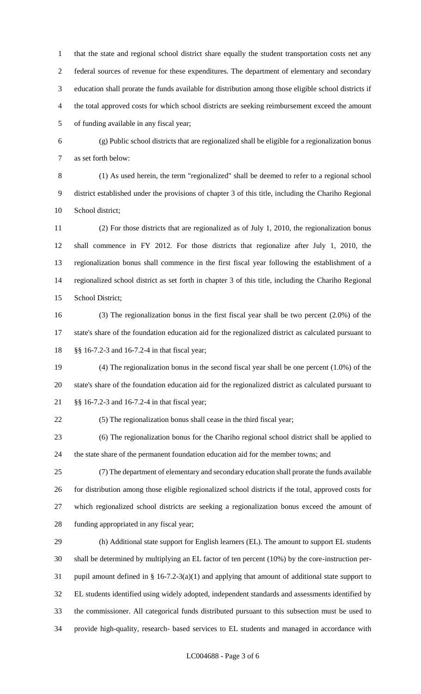that the state and regional school district share equally the student transportation costs net any federal sources of revenue for these expenditures. The department of elementary and secondary education shall prorate the funds available for distribution among those eligible school districts if the total approved costs for which school districts are seeking reimbursement exceed the amount of funding available in any fiscal year;

 (g) Public school districts that are regionalized shall be eligible for a regionalization bonus as set forth below:

 (1) As used herein, the term "regionalized" shall be deemed to refer to a regional school district established under the provisions of chapter 3 of this title, including the Chariho Regional School district;

 (2) For those districts that are regionalized as of July 1, 2010, the regionalization bonus shall commence in FY 2012. For those districts that regionalize after July 1, 2010, the regionalization bonus shall commence in the first fiscal year following the establishment of a regionalized school district as set forth in chapter 3 of this title, including the Chariho Regional School District;

 (3) The regionalization bonus in the first fiscal year shall be two percent (2.0%) of the state's share of the foundation education aid for the regionalized district as calculated pursuant to §§ 16-7.2-3 and 16-7.2-4 in that fiscal year;

 (4) The regionalization bonus in the second fiscal year shall be one percent (1.0%) of the state's share of the foundation education aid for the regionalized district as calculated pursuant to §§ 16-7.2-3 and 16-7.2-4 in that fiscal year;

(5) The regionalization bonus shall cease in the third fiscal year;

 (6) The regionalization bonus for the Chariho regional school district shall be applied to the state share of the permanent foundation education aid for the member towns; and

 (7) The department of elementary and secondary education shall prorate the funds available for distribution among those eligible regionalized school districts if the total, approved costs for which regionalized school districts are seeking a regionalization bonus exceed the amount of funding appropriated in any fiscal year;

 (h) Additional state support for English learners (EL). The amount to support EL students shall be determined by multiplying an EL factor of ten percent (10%) by the core-instruction per- pupil amount defined in § 16-7.2-3(a)(1) and applying that amount of additional state support to EL students identified using widely adopted, independent standards and assessments identified by the commissioner. All categorical funds distributed pursuant to this subsection must be used to provide high-quality, research- based services to EL students and managed in accordance with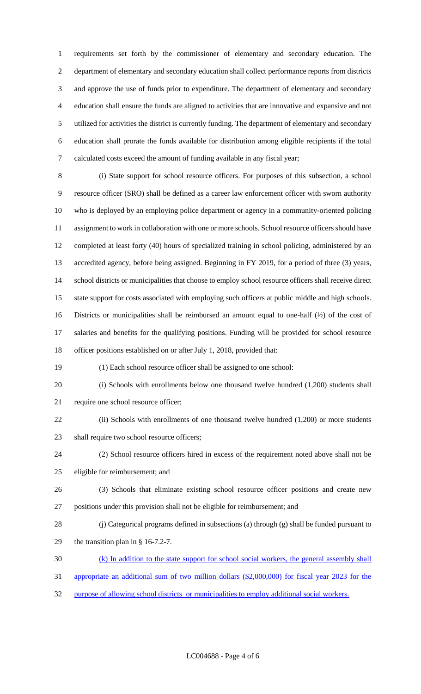requirements set forth by the commissioner of elementary and secondary education. The department of elementary and secondary education shall collect performance reports from districts and approve the use of funds prior to expenditure. The department of elementary and secondary education shall ensure the funds are aligned to activities that are innovative and expansive and not utilized for activities the district is currently funding. The department of elementary and secondary education shall prorate the funds available for distribution among eligible recipients if the total calculated costs exceed the amount of funding available in any fiscal year;

 (i) State support for school resource officers. For purposes of this subsection, a school resource officer (SRO) shall be defined as a career law enforcement officer with sworn authority who is deployed by an employing police department or agency in a community-oriented policing assignment to work in collaboration with one or more schools. School resource officers should have completed at least forty (40) hours of specialized training in school policing, administered by an accredited agency, before being assigned. Beginning in FY 2019, for a period of three (3) years, school districts or municipalities that choose to employ school resource officers shall receive direct state support for costs associated with employing such officers at public middle and high schools. Districts or municipalities shall be reimbursed an amount equal to one-half (½) of the cost of salaries and benefits for the qualifying positions. Funding will be provided for school resource officer positions established on or after July 1, 2018, provided that:

(1) Each school resource officer shall be assigned to one school:

 (i) Schools with enrollments below one thousand twelve hundred (1,200) students shall require one school resource officer;

22 (ii) Schools with enrollments of one thousand twelve hundred (1,200) or more students shall require two school resource officers;

 (2) School resource officers hired in excess of the requirement noted above shall not be eligible for reimbursement; and

- (3) Schools that eliminate existing school resource officer positions and create new positions under this provision shall not be eligible for reimbursement; and
- (j) Categorical programs defined in subsections (a) through (g) shall be funded pursuant to the transition plan in § 16-7.2-7.
- (k) In addition to the state support for school social workers, the general assembly shall
- appropriate an additional sum of two million dollars (\$2,000,000) for fiscal year 2023 for the
- purpose of allowing school districts or municipalities to employ additional social workers.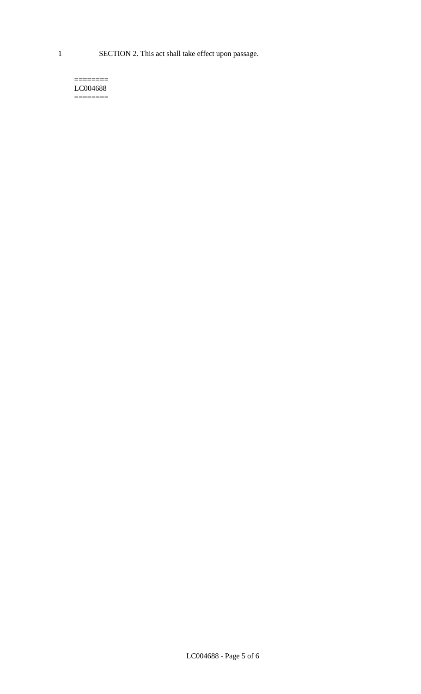1 SECTION 2. This act shall take effect upon passage.

#### $=$ LC004688  $=$